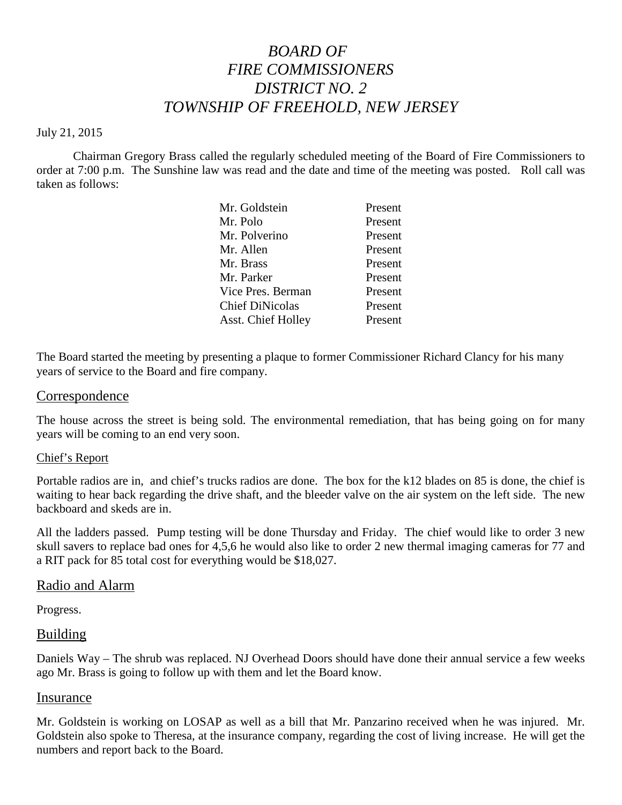# *BOARD OF FIRE COMMISSIONERS DISTRICT NO. 2 TOWNSHIP OF FREEHOLD, NEW JERSEY*

#### July 21, 2015

Chairman Gregory Brass called the regularly scheduled meeting of the Board of Fire Commissioners to order at 7:00 p.m. The Sunshine law was read and the date and time of the meeting was posted. Roll call was taken as follows:

| Mr. Goldstein             | Present |
|---------------------------|---------|
| Mr. Polo                  | Present |
| Mr. Polverino             | Present |
| Mr. Allen                 | Present |
| Mr. Brass                 | Present |
| Mr. Parker                | Present |
| Vice Pres. Berman         | Present |
| <b>Chief DiNicolas</b>    | Present |
| <b>Asst. Chief Holley</b> | Present |

The Board started the meeting by presenting a plaque to former Commissioner Richard Clancy for his many years of service to the Board and fire company.

#### Correspondence

The house across the street is being sold. The environmental remediation, that has being going on for many years will be coming to an end very soon.

#### Chief's Report

Portable radios are in, and chief's trucks radios are done. The box for the k12 blades on 85 is done, the chief is waiting to hear back regarding the drive shaft, and the bleeder valve on the air system on the left side. The new backboard and skeds are in.

All the ladders passed. Pump testing will be done Thursday and Friday. The chief would like to order 3 new skull savers to replace bad ones for 4,5,6 he would also like to order 2 new thermalimaging cameras for 77 and a RIT pack for 85 total cost for everything would be \$18,027.

#### Radio and Alarm

Progress.

#### Building

Daniels Way – The shrub was replaced. NJ Overhead Doors should have done their annual service a few weeks ago Mr. Brass is going to follow up with them and let the Board know.

#### Insurance

Mr. Goldstein is working on LOSAP as well as a bill that Mr. Panzarino received when he was injured. Mr. Goldstein also spoke to Theresa, at the insurance company, regarding the cost of living increase. He will get the numbers and report back to the Board.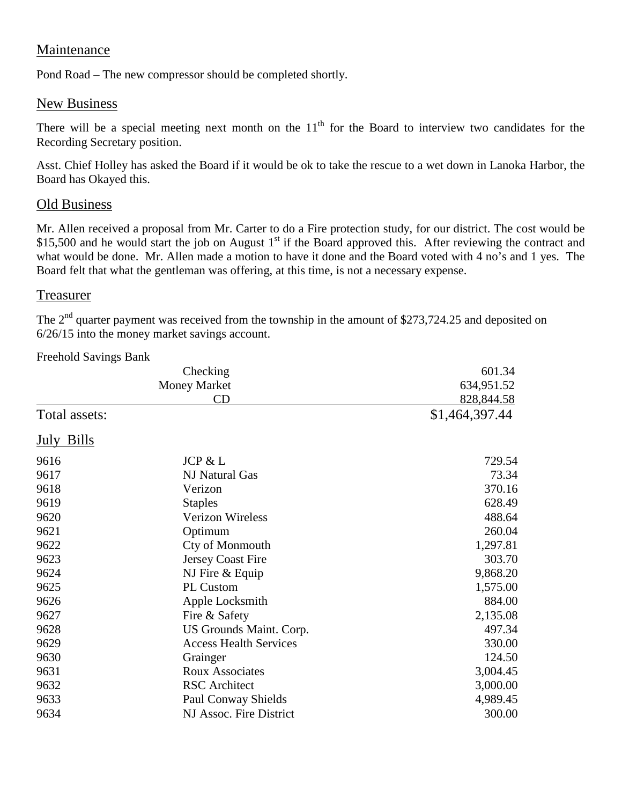## Maintenance

Pond Road – The new compressor should be completed shortly.

## New Business

There will be a special meeting next month on the  $11<sup>th</sup>$  for the Board to interview two candidates for the Recording Secretary position.

Asst. Chief Holley has asked the Board if it would be ok to take the rescue to a wet down in Lanoka Harbor, the Board has Okayed this.

## Old Business

Mr. Allen received a proposal from Mr. Carter to do a Fire protection study, for our district. The cost would be \$15,500 and he would start the job on August 1<sup>st</sup> if the Board approved this. After reviewing the contract and what would be done. Mr. Allen made a motion to have it done and the Board voted with 4 no's and 1 yes. The Board felt that what the gentleman was offering, at this time, is not a necessary expense.

### Treasurer

The  $2<sup>nd</sup>$  quarter payment was received from the township in the amount of \$273,724.25 and deposited on 6/26/15 into the money market savings account.

| Freehold Savings Bank                 |                               |                      |  |                |
|---------------------------------------|-------------------------------|----------------------|--|----------------|
| Checking<br><b>Money Market</b><br>CD |                               | 601.34<br>634,951.52 |  |                |
|                                       |                               |                      |  |                |
|                                       |                               | Total assets:        |  | \$1,464,397.44 |
| July Bills                            |                               |                      |  |                |
| 9616                                  | JCP & L                       | 729.54               |  |                |
| 9617                                  | NJ Natural Gas                | 73.34                |  |                |
| 9618                                  | Verizon                       | 370.16               |  |                |
| 9619                                  | <b>Staples</b>                | 628.49               |  |                |
| 9620                                  | <b>Verizon Wireless</b>       | 488.64               |  |                |
| 9621                                  | Optimum                       | 260.04               |  |                |
| 9622                                  | Cty of Monmouth               | 1,297.81             |  |                |
| 9623                                  | <b>Jersey Coast Fire</b>      | 303.70               |  |                |
| 9624                                  | NJ Fire & Equip               | 9,868.20             |  |                |
| 9625                                  | <b>PL Custom</b>              | 1,575.00             |  |                |
| 9626                                  | Apple Locksmith               | 884.00               |  |                |
| 9627                                  | Fire & Safety                 | 2,135.08             |  |                |
| 9628                                  | US Grounds Maint. Corp.       | 497.34               |  |                |
| 9629                                  | <b>Access Health Services</b> | 330.00               |  |                |
| 9630                                  | Grainger                      | 124.50               |  |                |
| 9631                                  | <b>Roux Associates</b>        | 3,004.45             |  |                |
| 9632                                  | <b>RSC</b> Architect          | 3,000.00             |  |                |
| 9633                                  | <b>Paul Conway Shields</b>    | 4,989.45             |  |                |
| 9634                                  | NJ Assoc. Fire District       | 300.00               |  |                |